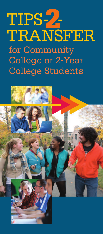# TIPS-**2**- TRANSFER for Community College or 2-Year College Students

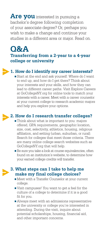**Are you** interested in pursuing a bachelor's degree following completion of your associate degree? Or, perhaps you wish to make a change and continue your studies in a different area or major. Read on.

# **Q&A**

# **Transferring from a 2-year to a 4-year college or university**

# **1. How do I identify my career interests?**

 Start at the end and ask yourself: Where do I want to end up, and how do I get there? Think about your interests and your skills, and how they can lead to different career paths. Visit Explore Careers at GoCollegeNY.org for online tools to match your interests with a career. Meet with a career counselor at your current college to research academic majors and help you explore your options.

# **2. How do I research transfer colleges?**

- Think about what is important to you: majors offered, GPA requirements, geographic location, size, cost, selectivity, athletics, housing, religious affiliation, and setting (urban, suburban, or rural). Search for colleges that meet those criteria. There are many online college search websites such as GoCollegeNY.org that will help.
- Be sure you take a look at course equivalencies, often found on an institution's website, to determine how your earned college credits will transfer.

# **3. What steps can I take to help me make my final college choices?**

- Meet with a Transfer Counselor at your current college.
- Visit campuses! You want to get a feel for the culture of a college to determine if it is a good fit for you.
- Always meet with an admissions representative at the university or college you're interested in attending. During the visit, inquire about potential scholarships, housing, financial aid, and other important concerns.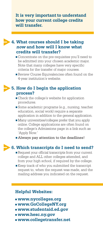It is very important to understand **how your current college credits will transfer.**

# **4. What courses should I be taking now and how will I know what credits will transfer?**

- Concentrate on the pre-requisites you'll need to be admitted into your chosen academic major. Note that many colleges have very specific criteria for the transfer of major courses.
- Review Course Equivalencies often found on the 4-year institution's website.

## **5. How do I begin the application process?**

- **Check the college's website for application** procedures.
- Some academic programs (e.g., nursing, teacher education, social work) require a separate application in addition to the general application.
- Many universities/colleges prefer that you apply online. College applications are often found on the college's Admissions page in a link such as 'Apply Now.'
- Always pay attention to the deadlines!

# **6. Which transcripts do I need to send?**

- Request your official transcripts from your current college and ALL other colleges attended, and from your high school, if required by the college.
- Keep track of who you submitted the transcript request to, when the request was made, and the mailing address you indicated on the request.

#### **Helpful Websites:**

- **www.nycolleges.org**
- **www.GoCollegeNY.org**
- **www.studentaid.ed.gov**
- **www.hesc.ny.gov**
- **www.collegetransfer.net**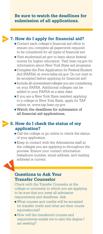## **Be sure to watch the deadlines for submission of all applications.**

# **7. How do I apply for financial aid?**

- Contact each college's financial aid office to ensure you complete all paperwork required to be considered for all types of financial aid.
- Visit studentaid.ed.gov to learn about federal money for higher education. Visit hesc.ny.gov for information about New York State aid programs.
- Complete the Free Application for Federal Student Aid (FAFSA) at www.fafsa.ed.gov. Do not wait to be accepted before applying for financial aid!
- Include all universities/colleges you are considering on your FAFSA. Additional colleges can be added to your FAFSA at a later date.
- **If you are a New York State resident applying** to a college in New York State, apply for TAP online at: www.tap.hesc.ny.gov
- Watch the deadlines for submission of all financial aid applications**.**

# **8. How do I check the status of my application?**

- $\blacksquare$  Call the college or go online to check the status of your application.
- Keep in contact with the Admissions staff at the colleges you are applying to throughout the process. Ensure your contact information (telephone number, email address, and mailing address) is current.



Check with the Transfer Counselor at the college or university to which you are applying to be sure that you meet all admission requirements and deadlines. Ask:

- What courses and credits will be accepted for transfer credit and what are their course equivalencies?
- **How will the transferred courses and** requirements enable me to earn the degree I am seeking?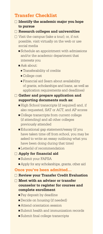# **Transfer Checklist**

#### **Identify the academic major you hope to pursue**

**Research colleges and universities**

- $\Box$  Visit the campus (take a tour); or, if not possible, visit virtually on the web or use social media
	- Schedule an appointment with admissions and/or the academic department that interests you
	- Ask about:
		- **-** Transferability of credits
		- **-** College cost
		- **-** Financial aid (learn about availability of grants, scholarships and loans, as well as application requirements and deadlines)

#### **Gather and prepare application and supporting documents such as:**

- High School transcripts (if required) and, if also requested, SAT or ACT, and AP scores
- $\blacksquare$  College transcripts from current college (if attending) and all other colleges previously attended
- Educational gap statement/essay (if you have taken time off from school, you may be asked to write an essay outlining what you have been doing during that time)
- **Letter(s)** of recommendation

#### **Apply for financial aid**

- Submit your FAFSA
- Apply for any scholarships, grants, other aid

#### **Once you've been admitted…**

#### **Review your Transfer Credit Evaluation**

- **Meet with an advisor or transfer counselor to register for courses and complete enrollment**
	- **Pay deposit by deadline**
	- Decide on housing (if needed)
	- **Attend orientation session**
	- Submit health and immunization records
	- Submit final college transcripts